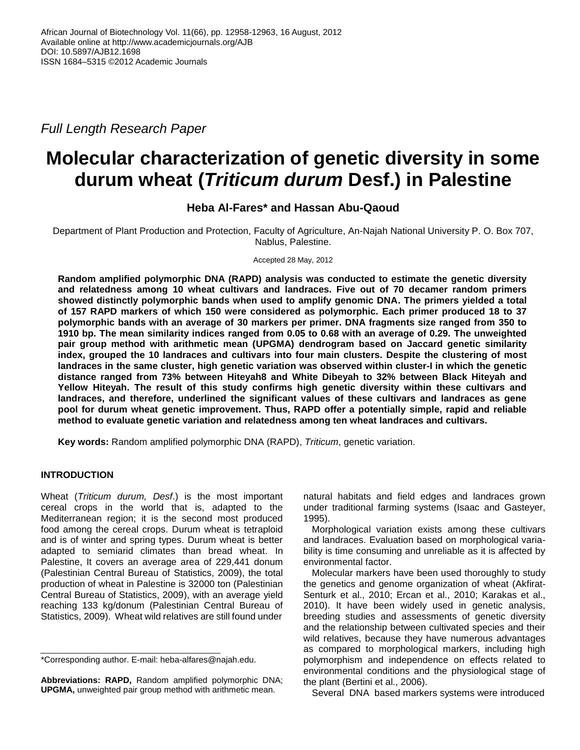*Full Length Research Paper*

# **Molecular characterization of genetic diversity in some durum wheat (***Triticum durum* **Desf.) in Palestine**

# **Heba Al-Fares\* and Hassan Abu-Qaoud**

Department of Plant Production and Protection, Faculty of Agriculture, An-Najah National University P. O. Box 707, Nablus, Palestine.

Accepted 28 May, 2012

**Random amplified polymorphic DNA (RAPD) analysis was conducted to estimate the genetic diversity and relatedness among 10 wheat cultivars and landraces. Five out of 70 decamer random primers showed distinctly polymorphic bands when used to amplify genomic DNA. The primers yielded a total of 157 RAPD markers of which 150 were considered as polymorphic. Each primer produced 18 to 37 polymorphic bands with an average of 30 markers per primer. DNA fragments size ranged from 350 to 1910 bp. The mean similarity indices ranged from 0.05 to 0.68 with an average of 0.29. The unweighted pair group method with arithmetic mean (UPGMA) dendrogram based on Jaccard genetic similarity index, grouped the 10 landraces and cultivars into four main clusters. Despite the clustering of most landraces in the same cluster, high genetic variation was observed within cluster-I in which the genetic distance ranged from 73% between Hiteyah8 and White Dibeyah to 32% between Black Hiteyah and Yellow Hiteyah. The result of this study confirms high genetic diversity within these cultivars and landraces, and therefore, underlined the significant values of these cultivars and landraces as gene pool for durum wheat genetic improvement. Thus, RAPD offer a potentially simple, rapid and reliable method to evaluate genetic variation and relatedness among ten wheat landraces and cultivars.**

**Key words:** Random amplified polymorphic DNA (RAPD), *Triticum*, genetic variation.

# **INTRODUCTION**

Wheat (*Triticum durum, Desf*.) is the most important cereal crops in the world that is, adapted to the Mediterranean region; it is the second most produced food among the cereal crops. Durum wheat is tetraploid and is of winter and spring types. Durum wheat is better adapted to semiarid climates than bread wheat. In Palestine, It covers an average area of 229,441 donum (Palestinian Central Bureau of Statistics, 2009), the total production of wheat in Palestine is 32000 ton (Palestinian Central Bureau of Statistics, 2009), with an average yield reaching 133 kg/donum (Palestinian Central Bureau of Statistics, 2009). Wheat wild relatives are still found under

natural habitats and field edges and landraces grown under traditional farming systems (Isaac and Gasteyer, 1995).

Morphological variation exists among these cultivars and landraces. Evaluation based on morphological variability is time consuming and unreliable as it is affected by environmental factor.

Molecular markers have been used thoroughly to study the genetics and genome organization of wheat (Akfirat-Senturk et al., 2010; Ercan et al., 2010; Karakas et al., 2010). It have been widely used in genetic analysis, breeding studies and assessments of genetic diversity and the relationship between cultivated species and their wild relatives, because they have numerous advantages as compared to morphological markers, including high polymorphism and independence on effects related to environmental conditions and the physiological stage of the plant (Bertini et al., 2006).

Several DNA based markers systems were introduced

<sup>\*</sup>Corresponding author. E-mail: heba-alfares@najah.edu.

**Abbreviations: RAPD,** Random amplified polymorphic DNA; **UPGMA,** unweighted pair group method with arithmetic mean.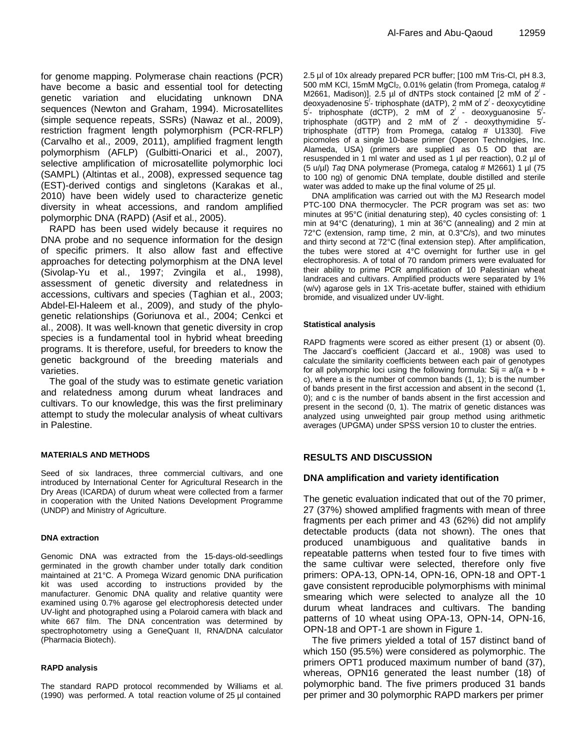for genome mapping. Polymerase chain reactions (PCR) have become a basic and essential tool for detecting genetic variation and elucidating unknown DNA sequences (Newton and Graham, 1994). Microsatellites (simple sequence repeats, SSRs) (Nawaz et al., 2009), restriction fragment length polymorphism (PCR-RFLP) (Carvalho et al., 2009, 2011), amplified fragment length polymorphism (AFLP) (Gulbitti-Onarici et al., 2007), selective amplification of microsatellite polymorphic loci (SAMPL) (Altintas et al., 2008), expressed sequence tag (EST)-derived contigs and singletons (Karakas et al., 2010) have been widely used to characterize genetic diversity in wheat accessions, and random amplified polymorphic DNA (RAPD) (Asif et al., 2005).

RAPD has been used widely because it requires no DNA probe and no sequence information for the design of specific primers. It also allow fast and effective approaches for detecting polymorphism at the DNA level (Sivolap‐Yu et al., 1997; Zvingila et al., 1998), assessment of genetic diversity and relatedness in accessions, cultivars and species (Taghian et al., 2003; Abdel-El-Haleem et al., 2009), and study of the phylogenetic relationships (Goriunova et al., 2004; Cenkci et al., 2008). It was well‐known that genetic diversity in crop species is a fundamental tool in hybrid wheat breeding programs. It is therefore, useful, for breeders to know the genetic background of the breeding materials and varieties.

The goal of the study was to estimate genetic variation and relatedness among durum wheat landraces and cultivars. To our knowledge, this was the first preliminary attempt to study the molecular analysis of wheat cultivars in Palestine.

#### **MATERIALS AND METHODS**

Seed of six landraces, three commercial cultivars, and one introduced by International Center for Agricultural Research in the Dry Areas (ICARDA) of durum wheat were collected from a farmer in cooperation with the United Nations Development Programme (UNDP) and Ministry of Agriculture.

#### **DNA extraction**

Genomic DNA was extracted from the 15-days-old-seedlings germinated in the growth chamber under totally dark condition maintained at 21°C. A Promega Wizard genomic DNA purification kit was used according to instructions provided by the manufacturer. Genomic DNA quality and relative quantity were examined using 0.7% agarose gel electrophoresis detected under UV-light and photographed using a Polaroid camera with black and white 667 film. The DNA concentration was determined by spectrophotometry using a GeneQuant II, RNA/DNA calculator (Pharmacia Biotech).

#### **RAPD analysis**

The standard RAPD protocol recommended by Williams et al. (1990) was performed. A total reaction volume of 25 µl contained

2.5 µl of 10x already prepared PCR buffer; [100 mM Tris-Cl, pH 8.3, 500 mM KCl, 15mM MgCl<sub>2</sub>, 0.01% gelatin (from Promega, catalog # M2661, Madison)]. 2.5 µl of dNTPs stock contained [2 mM of  $2^{7}$  deoxyadenosine  $5'$ - triphosphate (dATP), 2 mM of  $2'$ - deoxycytidine  $5'$ - triphosphate (dCTP), 2 mM of  $2'$  - deoxyguanosine  $5'$ triphosphate (dGTP) and 2 mM of  $2'$  - deoxythymidine  $5'$ triphosphate (dTTP) from Promega, catalog # U1330]. Five picomoles of a single 10-base primer (Operon Technolgies, Inc. Alameda, USA) (primers are supplied as 0.5 OD that are resuspended in 1 ml water and used as 1 µl per reaction), 0.2 µl of (5 u/µl) *Taq* DNA polymerase (Promega, catalog # M2661) 1 µl (75 to 100 ng) of genomic DNA template, double distilled and sterile water was added to make up the final volume of 25 µl.

DNA amplification was carried out with the MJ Research model PTC-100 DNA thermocycler. The PCR program was set as: two minutes at 95°C (initial denaturing step), 40 cycles consisting of: 1 min at 94°C (denaturing), 1 min at 36°C (annealing) and 2 min at 72°C (extension, ramp time, 2 min, at 0.3°C/s), and two minutes and thirty second at 72°C (final extension step). After amplification, the tubes were stored at 4°C overnight for further use in gel electrophoresis. A of total of 70 random primers were evaluated for their ability to prime PCR amplification of 10 Palestinian wheat landraces and cultivars. Amplified products were separated by 1% (w/v) agarose gels in 1X Tris-acetate buffer, stained with ethidium bromide, and visualized under UV-light.

#### **Statistical analysis**

RAPD fragments were scored as either present (1) or absent (0). The Jaccard's coefficient (Jaccard et al., 1908) was used to calculate the similarity coefficients between each pair of genotypes for all polymorphic loci using the following formula: Sij =  $a/(a + b + b)$ c), where a is the number of common bands (1, 1); b is the number of bands present in the first accession and absent in the second (1, 0); and c is the number of bands absent in the first accession and present in the second (0, 1). The matrix of genetic distances was analyzed using unweighted pair group method using arithmetic averages (UPGMA) under SPSS version 10 to cluster the entries.

### **RESULTS AND DISCUSSION**

#### **DNA amplification and variety identification**

The genetic evaluation indicated that out of the 70 primer, 27 (37%) showed amplified fragments with mean of three fragments per each primer and 43 (62%) did not amplify detectable products (data not shown). The ones that produced unambiguous and qualitative bands in repeatable patterns when tested four to five times with the same cultivar were selected, therefore only five primers: OPA-13, OPN-14, OPN-16, OPN-18 and OPT-1 gave consistent reproducible polymorphisms with minimal smearing which were selected to analyze all the 10 durum wheat landraces and cultivars. The banding patterns of 10 wheat using OPA-13, OPN-14, OPN-16, OPN-18 and OPT-1 are shown in Figure 1.

The five primers yielded a total of 157 distinct band of which 150 (95.5%) were considered as polymorphic. The primers OPT1 produced maximum number of band (37), whereas, OPN16 generated the least number (18) of polymorphic band. The five primers produced 31 bands per primer and 30 polymorphic RAPD markers per primer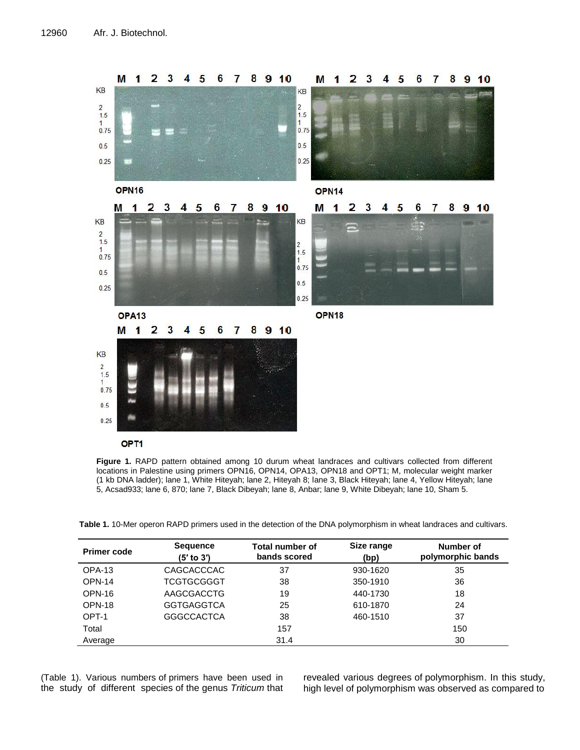

OP<sub>T1</sub>



| <b>Primer code</b> | <b>Sequence</b><br>(5' to 3') | Total number of<br>bands scored | Size range<br>(bp) | Number of<br>polymorphic bands |  |
|--------------------|-------------------------------|---------------------------------|--------------------|--------------------------------|--|
| OPA-13             | CAGCACCCAC                    | 37                              | 930-1620           | 35                             |  |
| <b>OPN-14</b>      | <b>TCGTGCGGGT</b>             | 38                              | 350-1910           | 36                             |  |
| OPN-16             | AAGCGACCTG                    | 19                              | 440-1730           | 18                             |  |
| OPN-18             | <b>GGTGAGGTCA</b>             | 25                              | 610-1870           | 24                             |  |
| OPT-1              | <b>GGGCCACTCA</b>             | 38                              | 460-1510           | 37                             |  |
| Total              |                               | 157                             |                    | 150                            |  |
| Average            |                               | 31.4                            |                    | 30                             |  |

(Table 1). Various numbers of primers have been used in the study of different species of the genus *Triticum* that

revealed various degrees of polymorphism. In this study, high level of polymorphism was observed as compared to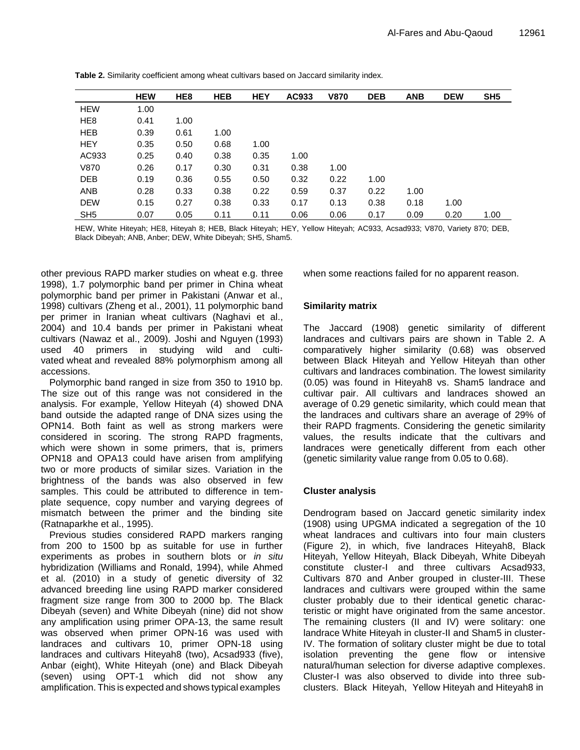|                 | <b>HEW</b> | HE <sub>8</sub> | <b>HEB</b> | <b>HEY</b> | AC933 | <b>V870</b> | <b>DEB</b> | <b>ANB</b> | <b>DEW</b> | SH <sub>5</sub> |
|-----------------|------------|-----------------|------------|------------|-------|-------------|------------|------------|------------|-----------------|
| <b>HEW</b>      | 1.00       |                 |            |            |       |             |            |            |            |                 |
| HE <sub>8</sub> | 0.41       | 1.00            |            |            |       |             |            |            |            |                 |
| <b>HEB</b>      | 0.39       | 0.61            | 1.00       |            |       |             |            |            |            |                 |
| <b>HEY</b>      | 0.35       | 0.50            | 0.68       | 1.00       |       |             |            |            |            |                 |
| AC933           | 0.25       | 0.40            | 0.38       | 0.35       | 1.00  |             |            |            |            |                 |
| V870            | 0.26       | 0.17            | 0.30       | 0.31       | 0.38  | 1.00        |            |            |            |                 |
| <b>DEB</b>      | 0.19       | 0.36            | 0.55       | 0.50       | 0.32  | 0.22        | 1.00       |            |            |                 |
| <b>ANB</b>      | 0.28       | 0.33            | 0.38       | 0.22       | 0.59  | 0.37        | 0.22       | 1.00       |            |                 |
| <b>DEW</b>      | 0.15       | 0.27            | 0.38       | 0.33       | 0.17  | 0.13        | 0.38       | 0.18       | 1.00       |                 |
| SH <sub>5</sub> | 0.07       | 0.05            | 0.11       | 0.11       | 0.06  | 0.06        | 0.17       | 0.09       | 0.20       | 1.00            |

**Table 2.** Similarity coefficient among wheat cultivars based on Jaccard similarity index.

HEW, White Hiteyah; HE8, Hiteyah 8; HEB, Black Hiteyah; HEY, Yellow Hiteyah; AC933, Acsad933; V870, Variety 870; DEB, Black Dibeyah; ANB, Anber; DEW, White Dibeyah; SH5, Sham5.

other previous RAPD marker studies on wheat e.g. three 1998), 1.7 polymorphic band per primer in China wheat polymorphic band per primer in Pakistani (Anwar et al., 1998) cultivars (Zheng et al., 2001), 11 polymorphic band per primer in Iranian wheat cultivars (Naghavi et al., 2004) and 10.4 bands per primer in Pakistani wheat cultivars (Nawaz et al., 2009). Joshi and Nguyen (1993) used 40 primers in studying wild and cultivated wheat and revealed 88% polymorphism among all accessions.

Polymorphic band ranged in size from 350 to 1910 bp. The size out of this range was not considered in the analysis. For example, Yellow Hiteyah (4) showed DNA band outside the adapted range of DNA sizes using the OPN14. Both faint as well as strong markers were considered in scoring. The strong RAPD fragments, which were shown in some primers, that is, primers OPN18 and OPA13 could have arisen from amplifying two or more products of similar sizes. Variation in the brightness of the bands was also observed in few samples. This could be attributed to difference in template sequence, copy number and varying degrees of mismatch between the primer and the binding site (Ratnaparkhe et al., 1995).

Previous studies considered RAPD markers ranging from 200 to 1500 bp as suitable for use in further experiments as probes in southern blots or *in situ* hybridization (Williams and Ronald, 1994), while Ahmed et al. (2010) in a study of genetic diversity of 32 advanced breeding line using RAPD marker considered fragment size range from 300 to 2000 bp. The Black Dibeyah (seven) and White Dibeyah (nine) did not show any amplification using primer OPA-13, the same result was observed when primer OPN-16 was used with landraces and cultivars 10, primer OPN-18 using landraces and cultivars Hiteyah8 (two), Acsad933 (five), Anbar (eight), White Hiteyah (one) and Black Dibeyah (seven) using OPT-1 which did not show any amplification. This is expected and shows typical examples

when some reactions failed for no apparent reason.

## **Similarity matrix**

The Jaccard (1908) genetic similarity of different landraces and cultivars pairs are shown in Table 2. A comparatively higher similarity (0.68) was observed between Black Hiteyah and Yellow Hiteyah than other cultivars and landraces combination. The lowest similarity (0.05) was found in Hiteyah8 vs. Sham5 landrace and cultivar pair. All cultivars and landraces showed an average of 0.29 genetic similarity, which could mean that the landraces and cultivars share an average of 29% of their RAPD fragments. Considering the genetic similarity values, the results indicate that the cultivars and landraces were genetically different from each other (genetic similarity value range from 0.05 to 0.68).

## **Cluster analysis**

Dendrogram based on Jaccard genetic similarity index (1908) using UPGMA indicated a segregation of the 10 wheat landraces and cultivars into four main clusters (Figure 2), in which, five landraces Hiteyah8, Black Hiteyah, Yellow Hiteyah, Black Dibeyah, White Dibeyah constitute cluster-I and three cultivars Acsad933, Cultivars 870 and Anber grouped in cluster-III. These landraces and cultivars were grouped within the same cluster probably due to their identical genetic characteristic or might have originated from the same ancestor. The remaining clusters (II and IV) were solitary: one landrace White Hiteyah in cluster-II and Sham5 in cluster-IV. The formation of solitary cluster might be due to total isolation preventing the gene flow or intensive natural/human selection for diverse adaptive complexes. Cluster-I was also observed to divide into three subclusters. Black Hiteyah, Yellow Hiteyah and Hiteyah8 in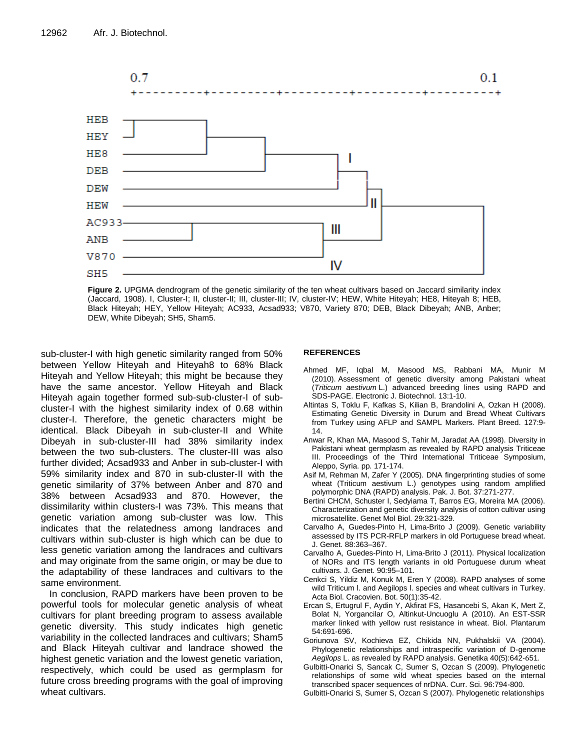

**Figure 2.** UPGMA dendrogram of the genetic similarity of the ten wheat cultivars based on Jaccard similarity index (Jaccard, 1908). I, Cluster-I; II, cluster-II; III, cluster-III; IV, cluster-IV; HEW, White Hiteyah; HE8, Hiteyah 8; HEB, Black Hiteyah; HEY, Yellow Hiteyah; AC933, Acsad933; V870, Variety 870; DEB, Black Dibeyah; ANB, Anber; DEW, White Dibeyah; SH5, Sham5.

sub-cluster-I with high genetic similarity ranged from 50% between Yellow Hiteyah and Hiteyah8 to 68% Black Hiteyah and Yellow Hiteyah; this might be because they have the same ancestor. Yellow Hiteyah and Black Hiteyah again together formed sub-sub-cluster-I of subcluster-I with the highest similarity index of 0.68 within cluster-I. Therefore, the genetic characters might be identical. Black Dibeyah in sub-cluster-II and White Dibeyah in sub-cluster-III had 38% similarity index between the two sub-clusters. The cluster-III was also further divided; Acsad933 and Anber in sub-cluster-I with 59% similarity index and 870 in sub-cluster-II with the genetic similarity of 37% between Anber and 870 and 38% between Acsad933 and 870. However, the dissimilarity within clusters-I was 73%. This means that genetic variation among sub-cluster was low. This indicates that the relatedness among landraces and cultivars within sub-cluster is high which can be due to less genetic variation among the landraces and cultivars and may originate from the same origin, or may be due to the adaptability of these landraces and cultivars to the same environment.

In conclusion, RAPD markers have been proven to be powerful tools for molecular genetic analysis of wheat cultivars for plant breeding program to assess available genetic diversity. This study indicates high genetic variability in the collected landraces and cultivars; Sham5 and Black Hiteyah cultivar and landrace showed the highest genetic variation and the lowest genetic variation, respectively, which could be used as germplasm for future cross breeding programs with the goal of improving wheat cultivars.

#### **REFERENCES**

- Ahmed MF, Iqbal M, Masood MS, Rabbani MA, Munir M (2010). Assessment of genetic diversity among Pakistani wheat (*Triticum aestivum* L.) advanced breeding lines using RAPD and SDS-PAGE. Electronic J. Biotechnol. 13:1-10.
- Altintas S, Toklu F, Kafkas S, Kilian B, Brandolini A, Ozkan H (2008). Estimating Genetic Diversity in Durum and Bread Wheat Cultivars from Turkey using AFLP and SAMPL Markers. Plant Breed. 127:9- 14.
- Anwar R, Khan MA, Masood S, Tahir M, Jaradat AA (1998). Diversity in Pakistani wheat germplasm as revealed by RAPD analysis Triticeae III. Proceedings of the Third International Triticeae Symposium, Aleppo, Syria. pp. 171‐174.
- Asif M, Rehman M, Zafer Y (2005). DNA fingerprinting studies of some wheat (Triticum aestivum L.) genotypes using random amplified polymorphic DNA (RAPD) analysis. Pak. J. Bot. 37:271-277.
- Bertini CHCM, Schuster I, Sedyiama T, Barros EG, Moreira MA (2006). Characterization and genetic diversity analysis of cotton cultivar using microsatellite. Genet Mol Biol. 29:321-329.
- Carvalho A, Guedes-Pinto H, Lima-Brito J (2009). Genetic variability assessed by ITS PCR-RFLP markers in old Portuguese bread wheat. J. Genet. 88:363–367.
- Carvalho A, Guedes-Pinto H, Lima-Brito J (2011). Physical localization of NORs and ITS length variants in old Portuguese durum wheat cultivars. J. Genet. 90:95–101.
- Cenkci S, Yildiz M, Konuk M, Eren Y (2008). RAPD analyses of some wild Triticum l. and Aegilops l. species and wheat cultivars in Turkey. Acta Biol. Cracovien. Bot. 50(1):35-42.
- Ercan S, Ertugrul F, Aydin Y, Akfirat FS, Hasancebi S, Akan K, Mert Z, Bolat N, Yorgancilar O, Altinkut-Uncuoglu A (2010). An EST-SSR marker linked with yellow rust resistance in wheat. Biol. Plantarum 54:691-696.
- Goriunova SV, Kochieva EZ, Chikida NN, Pukhalskii VA (2004). Phylogenetic relationships and intraspecific variation of D‐genome *Aegilops* L. as revealed by RAPD analysis. Genetika 40(5):642‐651.
- Gulbitti-Onarici S, Sancak C, Sumer S, Ozcan S (2009). Phylogenetic relationships of some wild wheat species based on the internal transcribed spacer sequences of nrDNA. Curr. Sci. 96:794-800.
- Gulbitti-Onarici S, Sumer S, Ozcan S (2007). Phylogenetic relationships